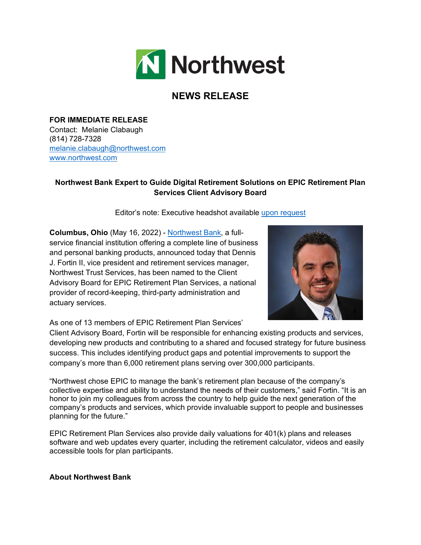

## **NEWS RELEASE**

**FOR IMMEDIATE RELEASE** Contact: Melanie Clabaugh (814) 728-7328 [melanie.clabaugh@northwest.com](mailto:melanie.clabaugh@northwest.com) [www.northwest.com](https://nam11.safelinks.protection.outlook.com/?url=http%3A%2F%2Fwww.northwest.com%2F&data=04%7C01%7Cbrye%40mower.com%7Cbc037ae978e648636ae008d9ec19398f%7Cdc2e9ed92fcd409db13cef5d0db3474b%7C0%7C0%7C637800415348799899%7CUnknown%7CTWFpbGZsb3d8eyJWIjoiMC4wLjAwMDAiLCJQIjoiV2luMzIiLCJBTiI6Ik1haWwiLCJXVCI6Mn0%3D%7C3000&sdata=8XgIJh3kttw7udOyuFSoeytmU%2F97hDr1VMhtA7NfA%2BM%3D&reserved=0)

## **Northwest Bank Expert to Guide Digital Retirement Solutions on EPIC Retirement Plan Services Client Advisory Board**

Editor's note: Executive headshot available [upon request](mailto:adoucette@mower.com)

**Columbus, Ohio** (May 16, 2022) - [Northwest Bank,](https://www.northwest.bank/) a fullservice financial institution offering a complete line of business and personal banking products, announced today that Dennis J. Fortin II, vice president and retirement services manager, Northwest Trust Services, has been named to the Client Advisory Board for EPIC Retirement Plan Services, a national provider of record-keeping, third-party administration and actuary services.



As one of 13 members of EPIC Retirement Plan Services'

Client Advisory Board, Fortin will be responsible for enhancing existing products and services, developing new products and contributing to a shared and focused strategy for future business success. This includes identifying product gaps and potential improvements to support the company's more than 6,000 retirement plans serving over 300,000 participants.

"Northwest chose EPIC to manage the bank's retirement plan because of the company's collective expertise and ability to understand the needs of their customers," said Fortin. "It is an honor to join my colleagues from across the country to help guide the next generation of the company's products and services, which provide invaluable support to people and businesses planning for the future."

EPIC Retirement Plan Services also provide daily valuations for 401(k) plans and releases software and web updates every quarter, including the retirement calculator, videos and easily accessible tools for plan participants.

## **About Northwest Bank**